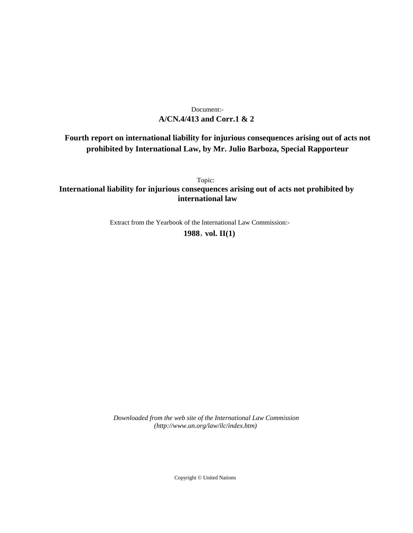# **A/CN.4/413 and Corr.1 & 2** Document:-

# **Fourth report on international liability for injurious consequences arising out of acts not prohibited by International Law, by Mr. Julio Barboza, Special Rapporteur**

Topic: **International liability for injurious consequences arising out of acts not prohibited by international law**

Extract from the Yearbook of the International Law Commission:-

**1988** , **vol. II(1)**

*Downloaded from the web site of the International Law Commission (http://www.un.org/law/ilc/index.htm)*

Copyright © United Nations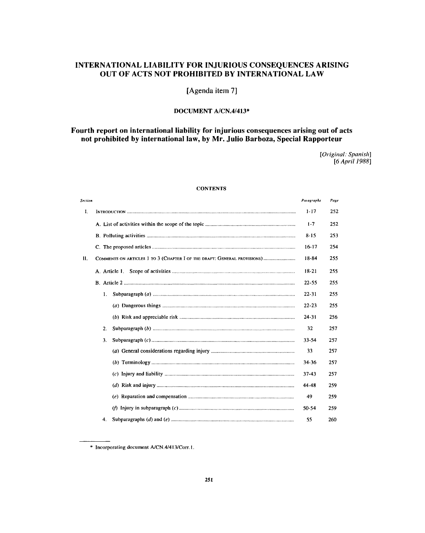# **INTERNATIONAL LIABILITY FOR INJURIOUS CONSEQUENCES ARISING OUT OF ACTS NOT PROHIBITED BY INTERNATIONAL LAW**

**[Agenda item 7]**

## DOCUMENT A/CN.4/413\*

## **Fourth report on international liability for injurious consequences arising out of acts not prohibited by international law, by Mr. Julio Barboza, Special Rapporteur**

*[Original: Spanish] [6 April 1988]*

## **CONTENTS**

| Section        |                                                                                                                                                                     | Paragraphs | Page |  |
|----------------|---------------------------------------------------------------------------------------------------------------------------------------------------------------------|------------|------|--|
| I.             |                                                                                                                                                                     | $1 - 17$   | 252  |  |
|                |                                                                                                                                                                     | $1 - 7$    | 252  |  |
|                |                                                                                                                                                                     | $8 - 15$   | 253  |  |
|                |                                                                                                                                                                     |            |      |  |
| $\mathbf{H}$ . | COMMENTS ON ARTICLES 1 TO 3 (CHAPTER I OF THE DRAFT: GENERAL PROVISIONS)                                                                                            | 18-84      | 255  |  |
|                | A. Article 1.                                                                                                                                                       | $18-21$    | 255  |  |
|                |                                                                                                                                                                     | $22 - 55$  | 255  |  |
|                | 1.                                                                                                                                                                  | 22-31      | 255  |  |
|                |                                                                                                                                                                     | $22 - 23$  | 255  |  |
|                |                                                                                                                                                                     | $24 - 31$  | 256  |  |
|                | 2.                                                                                                                                                                  | 32         | 257  |  |
|                | 3.                                                                                                                                                                  | $33 - 54$  | 257  |  |
|                |                                                                                                                                                                     | 33         | 257  |  |
|                |                                                                                                                                                                     | 34-36      | 257  |  |
|                |                                                                                                                                                                     | 37-43      | 257  |  |
|                | (d) Risk and injury $\ldots$ $\ldots$ $\ldots$ $\ldots$ $\ldots$ $\ldots$ $\ldots$ $\ldots$ $\ldots$ $\ldots$ $\ldots$ $\ldots$ $\ldots$ $\ldots$ $\ldots$ $\ldots$ | 44-48      | 259  |  |
|                |                                                                                                                                                                     | 49         | 259  |  |
|                |                                                                                                                                                                     | $50 - 54$  | 259  |  |
|                | 4.                                                                                                                                                                  | 55         | 260  |  |

<sup>\*</sup> Incorporating document A/CN.4/413/Corr.1.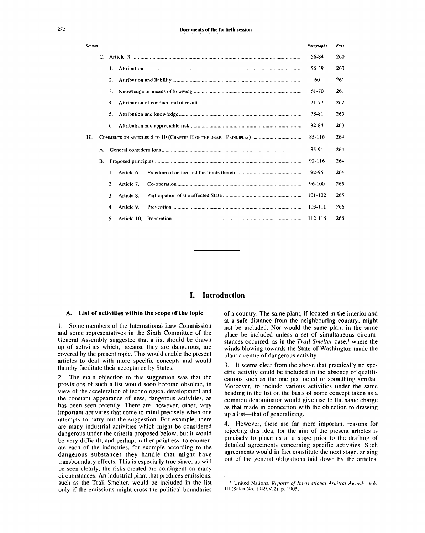| Section  |                |            |         |            | Page       |
|----------|----------------|------------|---------|------------|------------|
| C.       |                |            |         | 56-84      | 260        |
|          | L.             |            |         | 56-59      | 260        |
| 2.       |                |            | 60      | 261        |            |
| 3.       |                |            | $61-70$ | 261        |            |
| 4.       |                |            | 71-77   | 262        |            |
| 5.       |                |            | 78-81   | 263        |            |
|          | 6.             |            |         | 82-84      | 263        |
|          |                |            | 85-116  | 264        |            |
| A.<br>В. |                |            | 85-91   | 264        |            |
|          |                |            | 92-116  | 264        |            |
|          | $\mathbf{1}$ . | Article 6. |         | 92-95      | 264        |
|          | 2.             | Article 7. |         | $96 - 100$ | 265        |
|          | 3.             | Article 8. |         | 101-102    | 265        |
|          | 4.             | Article 9. |         | 103-111    | 266        |
|          | 5.             |            |         | 112-116    | 266        |
|          |                |            |         |            | Paragraphs |

## **I. Introduction**

#### **A. List of activities within the scope of the topic**

1. Some members of the International Law Commission and some representatives in the Sixth Committee of the General Assembly suggested that a list should be drawn up of activities which, because they are dangerous, are covered by the present topic. This would enable the present articles to deal with more specific concepts and would thereby facilitate their acceptance by States.

2. The main objection to this suggestion was that the provisions of such a list would soon become obsolete, in view of the acceleration of technological development and the constant appearance of new, dangerous activities, as has been seen recently. There are, however, other, very important activities that come to mind precisely when one attempts to carry out the suggestion. For example, there are many industrial activities which might be considered dangerous under the criteria proposed below, but it would be very difficult, and perhaps rather pointless, to enumerate each of the industries, for example according to the dangerous substances they handle that might have transboundary effects. This is especially true since, as will be seen clearly, the risks created are contingent on many circumstances. An industrial plant that produces emissions, such as the Trail Smelter, would be included in the list only if the emissions might cross the political boundaries

of a country. The same plant, if located in the interior and at a safe distance from the neighbouring country, might not be included. Nor would the same plant in the same place be included unless a set of simultaneous circumstances occurred, as in the *Trail Smelter* case,<sup>1</sup> where the winds blowing towards the State of Washington made the plant a centre of dangerous activity.

3. It seems clear from the above that practically no specific activity could be included in the absence of qualifications such as the one just noted or something similar. Moreover, to include various activities under the same heading in the list on the basis of some concept taken as a common denominator would give rise to the same charge as that made in connection with the objection to drawing up a list—that of generalizing.

4. However, there are far more important reasons for rejecting this idea, for the aim of the present articles is precisely to place us at a stage prior to the drafting of detailed agreements concerning specific activities. Such agreements would in fact constitute the next stage, arising out of the general obligations laid down by the articles.

<sup>1</sup> United Nations, *Reports of International Arbitral Awards,* vol. Ill (Sales No. 1949.V.2), p. 1905.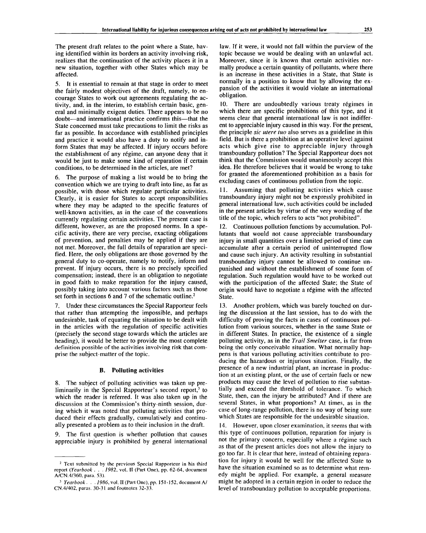The present draft relates to the point where a State, having identified within its borders an activity involving risk, realizes that the continuation of the activity places it in a new situation, together with other States which may be affected.

5. It is essential to remain at that stage in order to meet the fairly modest objectives of the draft, namely, to encourage States to work out agreements regulating the activity, and, in the interim, to establish certain basic, general and minimally exigent duties. There appears to be no doubt—and international practice confirms this—that the State concerned must take precautions to limit the risks as far as possible. In accordance with established principles and practice it would also have a duty to notify and inform States that may be affected. If injury occurs before the establishment of any régime, can anyone deny that it would be just to make some kind of reparation if certain conditions, to be determined in the articles, are met?

The purpose of making a list would be to bring the convention which we are trying to draft into line, as far as possible, with those which regulate particular activities. Clearly, it is easier for States to accept responsibilities where they may be adapted to the specific features of well-known activities, as in the case of the conventions currently regulating certain activities. The present case is different, however, as are the proposed norms. In a specific activity, there are very precise, exacting obligations of prevention, and penalties may be applied if they are not met. Moreover, the full details of reparation are specified. Here, the only obligations are those governed by the general duty to co-operate, namely to notify, inform and prevent. If injury occurs, there is no precisely specified compensation; instead, there is an obligation to negotiate in good faith to make reparation for the injury caused, possibly taking into account various factors such as those set forth in sections 6 and 7 of the schematic outline.<sup>2</sup>

7. Under these circumstances the Special Rapporteur feels that rather than attempting the impossible, and perhaps undesirable, task of equating the situation to be dealt with in the articles with the regulation of specific activities (precisely the second stage towards which the articles are heading), it would be better to provide the most complete definition possible of the activities involving risk that comprise the subject-matter of the topic.

#### **B. Polluting activities**

8. The subject of polluting activities was taken up preliminarily in the Special Rapporteur's second report,<sup>3</sup> to which the reader is referred. It was also taken up in the discussion at the Commission's thirty-ninth session, during which it was noted that polluting activities that produced their effects gradually, cumulatively and continually presented a problem as to their inclusion in the draft.

9. The first question is whether pollution that causes appreciable injury is prohibited by general international

law. If it were, it would not fall within the purview of the topic because we would be dealing with an unlawful act. Moreover, since it is known that certain activities normally produce a certain quantity of pollutants, where there is an increase in these activities in a State, that State is normally in a position to know that by allowing the expansion of the activities it would violate an international obligation.

10. There are undoubtedly various treaty régimes in which there are specific prohibitions of this type, and it seems clear that general international law is not indifferent to appreciable injury caused in this way. For the present, the principle *sic utere tuo* also serves as a guideline in this field. But is there a prohibition at an operative level against acts which give rise to appreciable injury through transboundary pollution? The Special Rapporteur does not think that the Commission would unanimously accept this idea. He therefore believes that it would be wrong to take for granted the aforementioned prohibition as a basis for excluding cases of continuous pollution from the topic.

11. Assuming that polluting activities which cause transboundary injury might not be expressly prohibited in general international law, such activities could be included in the present articles by virtue of the very wording of the title of the topic, which refers to acts "not prohibited".

12. Continuous pollution functions by accumulation. Pollutants that would not cause appreciable transboundary injury in small quantities over a limited period of time can accumulate after a certain period of uninterrupted flow and cause such injury. An activity resulting in substantial transboundary injury cannot be allowed to continue unpunished and without the establishment of some form of regulation. Such regulation would have to be worked out with the participation of the affected State; the State of origin would have to negotiate a régime with the affected State.

13. Another problem, which was barely touched on during the discussion at the last session, has to do with the difficulty of proving the facts in cases of continuous pollution from various sources, whether in the same State or in different States. In practice, the existence of a single polluting activity, as in the *Trail Smelter* case, is far from being the only conceivable situation. What normally happens is that various polluting activities contribute to producing the hazardous or injurious situation. Finally, the presence of a new industrial plant, an increase in production at an existing plant, or the use of certain fuels or new products may cause the level of pollution to rise substantially and exceed the threshold of tolerance. To which State, then, can the injury be attributed? And if there are several States, in what proportions? At times, as in the case of long-range pollution, there is no way of being sure which States are responsible for the undesirable situation.

14. However, upon closer examination, it seems that with this type of continuous pollution, reparation for injury is not the primary concern, especially where a régime such as that of the present articles does not allow the injury to go too far. It is clear that here, instead of obtaining reparation for injury it would be well for the affected State to have the situation examined so as to determine what remedy might be applied. For example, a general measure might be adopted in a certain region in order to reduce the level of transboundary pollution to acceptable proportions.

<sup>&</sup>lt;sup>2</sup> Text submitted by the previous Special Rapporteur in his third report *(Yearbook . . . 1982,* vol. II (Part One), pp. 62-64, document A/CN.4/360, para. 53).

<sup>3</sup>  *Yearbook. . . 1986,* vol. II (Part One), pp. 151-152, document A/ CN.4/402, paras. 30-31 and footnotes 32-33.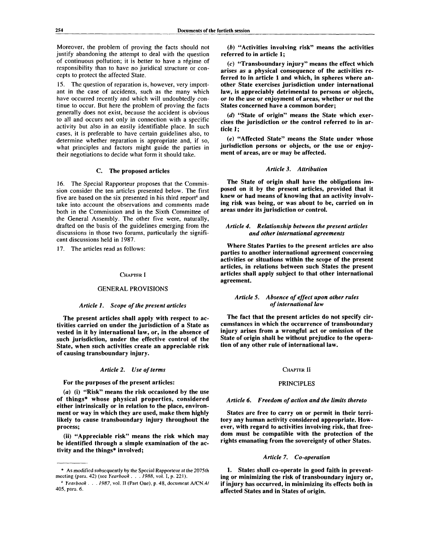Moreover, the problem of proving the facts should not justify abandoning the attempt to deal with the question of continuous pollution; it is better to have a regime of responsibility than to have no juridical structure or concepts to protect the affected State.

15. The question of reparation is, however, very important in the case of accidents, such as the many which have occurred recently and which will undoubtedly continue to occur. But here the problem of proving the facts generally does not exist, because the accident is obvious to all and occurs not only in connection with a specific activity but also in an easily identifiable place. In such cases, it is preferable to have certain guidelines also, to determine whether reparation is appropriate and, if so, what principles and factors might guide the parties in their negotiations to decide what form it should take.

### C. **The proposed articles**

16. The Special Rapporteur proposes that the Commission consider the ten articles presented below. The first five are based on the six presented in his third report<sup>4</sup> and take into account the observations and comments made both in the Commission and in the Sixth Committee of the General Assembly. The other five were, naturally, drafted on the basis of the guidelines emerging from the discussions in those two forums, particularly the significant discussions held in 1987.

17. The articles read as follows:

#### CHAPTER **I**

#### GENERAL PROVISIONS

### *Article 1. Scope of the present articles*

**The present articles shall apply with respect to activities carried on under the jurisdiction of a State as vested in it by international law, or, in the absence of such jurisdiction, under the effective control of the State, when such activities create an appreciable risk of causing transboundary injury.**

#### *Article 2. Use of terms*

**For the purposes of the present articles:**

**(a) (i) "Risk" means the risk occasioned by the use of things\* whose physical properties, considered either intrinsically or in relation to the place, environment or way in which they are used, make them highly likely to cause transboundary injury throughout the process;**

**(ii) "Appreciable risk" means the risk which may be identified through a simple examination of the activity and the things\* involved;**

*(b)* **"Activities involving risk" means the activities referred to in article 1;**

**(c) "Transboundary injury" means the effect which arises as a physical consequence of the activities referred to in article 1 and which, in spheres where another State exercises jurisdiction under international law, is appreciably detrimental to persons or objects, or to the use or enjoyment of areas, whether or not the States concerned have a common border;**

*(d)* **"State of origin" means the State which exercises the jurisdiction or the control referred to in article 1;**

(e) "Affected State" means the State under whose **jurisdiction persons or objects, or the use or enjoyment of areas, are or may be affected.**

### *Article 3. Attribution*

**The State of origin shall have the obligations imposed on it by the present articles, provided that it knew or had means of knowing that an activity involving risk was being, or was about to be, carried on in areas under its jurisdiction or control.**

## *Article 4. Relationship between the present articles and other international agreements*

**Where States Parties to the present articles are also parties to another international agreement concerning activities or situations within the scope of the present articles, in relations between such States the present articles shall apply subject to that other international agreement.**

### *Article 5. Absence of effect upon other rules of international law*

**The fact that the present articles do not specify circumstances in which the occurrence of transboundary injury arises from a wrongful act or omission of the State of origin shall be without prejudice to the operation of any other rule of international law.**

#### CHAPTER **II**

#### PRINCIPLES

#### *Article 6. Freedom of action and the limits thereto*

**States are free to carry on or permit in their territory any human activity considered appropriate. However, with regard to activities involving risk, that freedom must be compatible with the protection of the rights emanating from the sovereignty of other States.**

### *Article 7. Co-operation*

**1. States shall co-operate in good faith in preventing or minimizing the risk of transboundary injury or, if injury has occurred, in minimizing its effects both in affected States and in States of origin.**

<sup>\*</sup> As modified subsequently by the Special Rapporteur at the 2075th meeting (para. 42) (see *Yearbook . . . 1988,* vol. I, p. 221).

<sup>4</sup>  *Yearbook . . . 1987,* vol. II (Part One), p. 48, document A/CN.4/ 405, para. 6.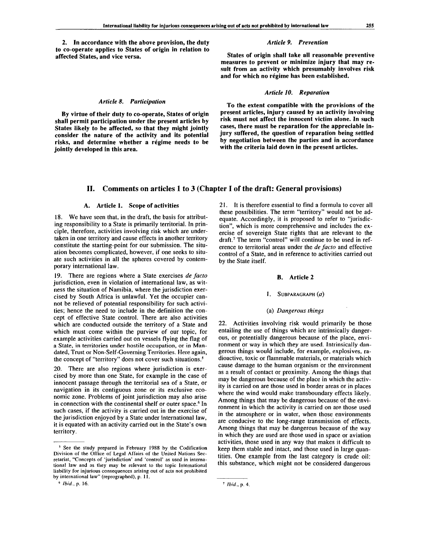**2. In accordance with the above provision, the duty to co-operate applies to States of origin in relation to affected States, and vice versa.**

#### *Article 8. Participation*

**By virtue of their duty to co-operate, States of origin shall permit participation under the present articles by States likely to be affected, so that they might jointly consider the nature of the activity and its potential risks, and determine whether a regime needs to be jointly developed in this area.**

#### *Article 9. Prevention*

**States of origin shall take all reasonable preventive measures to prevent or minimize injury that may result from an activity which presumably involves risk and for which no regime has been established.**

#### *Article 10. Reparation*

**To the extent compatible with the provisions of the present articles, injury caused by an activity involving risk must not affect the innocent victim alone. In such cases, there must be reparation for the appreciable injury suffered, the question of reparation being settled by negotiation between the parties and in accordance with the criteria laid down in the present articles.**

## **II. Comments on articles 1 to 3 (Chapter I of the draft: General provisions)**

#### **A. Article 1. Scope of activities**

18. We have seen that, in the draft, the basis for attributing responsibility to a State is primarily territorial. In principle, therefore, activities involving risk which are undertaken in one territory and cause effects in another territory constitute the starting-point for our submission. The situation becomes complicated, however, if one seeks to situate such activities in all the spheres covered by contemporary international law.

19. There are regions where a State exercises *de facto* jurisdiction, even in violation of international law, as witness the situation of Namibia, where the jurisdiction exercised by South Africa is unlawful. Yet the occupier cannot be relieved of potential responsibility for such activities; hence the need to include in the definition the concept of effective State control. There are also activities which are conducted outside the territory of a State and which must come within the purview of our topic, for example activities carried out on vessels flying the flag of a State, in territories under hostile occupation, or in Mandated, Trust or Non-Self-Governing Territories. Here again, the concept of "territory" does not cover such situations.<sup>5</sup>

20. There are also regions where jurisdiction is exercised by more than one State, for example in the case of innocent passage through the territorial sea of a State, or navigation in its contiguous zone or its exclusive economic zone. Problems of joint jurisdiction may also arise in connection with the continental shelf or outer space.<sup>6</sup> In such cases, if the activity is carried out in the exercise of the jurisdiction enjoyed by a State under international law, it is equated with an activity carried out in the State's own territory.

6  *Ibid.,* p. 16.

21. It is therefore essential to find a formula to cover all these possibilities. The term "territory" would not be adequate. Accordingly, it is proposed to refer to "jurisdiction", which is more comprehensive and includes the exercise of sovereign State rights that are relevant to the draft.<sup>7</sup> The term "control" will continue to be used in reference to territorial areas under the *de facto* and effective control of a State, and in reference to activities carried out by the State itself.

#### **B. Article 2**

#### 1. SUBPARAGRAPH $(a)$

#### (a) *Dangerous things*

22. Activities involving risk would primarily be those entailing the use of things which are intrinsically dangerous, or potentially dangerous because of the place, environment or way in which they are used. Intrinsically dangerous things would include, for example, explosives, radioactive, toxic or flammable materials, or materials which cause damage to the human organism or the environment as a result of contact or proximity. Among the things that may be dangerous because of the place in which the activity is carried on are those used in border areas or in places where the wind would make transboundary effects likely. Among things that may be dangerous because of the environment in which the activity is carried on are those used in the atmosphere or in water, when those environments are conducive to the long-range transmission of effects. Among things that may be dangerous because of the way in which they are used are those used in space or aviation activities, those used in any way that makes it difficult to keep them stable and intact, and those used in large quantities. One example from the last category is crude oil: this substance, which might not be considered dangerous

<sup>&</sup>lt;sup>5</sup> See the study prepared in February 1988 by the Codification Division of the Office of Legal Affairs of the United Nations Secretariat, "Concepts of 'jurisdiction' and 'control' as used in international law and as they may be relevant to the topic International liability for injurious consequences arising out of acts not prohibited by international law" (reprographed), p. 11.

<sup>7</sup>  *Ibid.,* p. 4.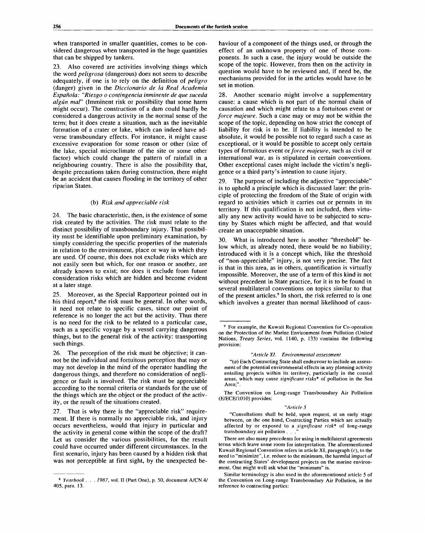when transported in smaller quantities, comes to be considered dangerous when transported in the huge quantities that can be shipped by tankers.

23. Also covered are activities involving things which the word *peligrosa* (dangerous) does not seem to describe adequately, if one is to rely on the definition of *peligro* (danger) given in the *Diccionario de la Real Academia Espanola: "Riesgo o contingencia inminente de que suceda algun maF* (Imminent risk or possibility that some harm might occur). The construction of a dam could hardly be considered a dangerous activity in the normal sense of the term; but it does create a situation, such as the inevitable formation of a crater or lake, which can indeed have adverse transboundary effects. For instance, it might cause excessive evaporation for some reason or other (size of the lake, special microclimate of the site or some other factor) which could change the pattern of rainfall in a neighbouring country. There is also the possibility that, despite precautions taken during construction, there might be an accident that causes flooding in the territory of other riparian States.

#### (b) *Risk and appreciable risk*

24. The basic characteristic, then, is the existence of some risk created by the activities. The risk must relate to the distinct possibility of transboundary injury. That possibility must be identifiable upon preliminary examination, by simply considering the specific properties of the materials in relation to the environment, place or way in which they are used. Of course, this does not exclude risks which are not easily seen but which, for one reason or another, are already known to exist; nor does it exclude from future consideration risks which are hidden and become evident at a later stage.

25. Moreover, as the Special Rapporteur pointed out in his third report, $8$  the risk must be general. In other words, it need not relate to specific cases, since our point of reference is no longer the act but the activity. Thus there is no need for the risk to be related to a particular case, such as a specific voyage by a vessel carrying dangerous things, but to the general risk of the activity: transporting such things.

26. The perception of the risk must be objective; it cannot be the individual and fortuitous perception that may or may not develop in the mind of the operator handling the dangerous things, and therefore no consideration of negligence or fault is involved. The risk must be appreciable according to the normal criteria or standards for the use of the things which are the object or the product of the activity, or the result of the situations created.

27. That is why there is the "appreciable risk" requirement. If there is normally no appreciable risk, and injury occurs nevertheless, would that injury in particular and the activity in general come within the scope of the draft? Let us consider the various possibilities, for the result could have occurred under different circumstances. In the first scenario, injury has been caused by a hidden risk that was not perceptible at first sight, by the unexpected behaviour of a component of the things used, or through the effect of an unknown property of one of those components. In such a case, the injury would be outside the scope of the topic. However, from then on the activity in question would have to be reviewed and, if need be, the mechanisms provided for in the articles would have to be set in motion.

28. Another scenario might involve a supplementary cause: a cause which is not part of the normal chain of causation and which might relate to a fortuitous event or *force majeure.* Such a case may or may not be within the scope of the topic, depending on how strict the concept of liability for risk is to be. If liability is intended to be absolute, it would be possible not to regard such a case as exceptional, or it would be possible to accept only certain types of fortuitous event *or force majeure,* such as civil or international war, as is stipulated in certain conventions. Other exceptional cases might include the victim's negligence or a third party's intention to cause injury.

29. The purpose of including the adjective "appreciable" is to uphold a principle which is discussed later: the principle of protecting the freedom of the State of origin with regard to activities which it carries out or permits in its territory. If this qualification is not included, then virtually any new activity would have to be subjected to scrutiny by States which might be affected, and that would create an unacceptable situation.

What is introduced here is another "threshold" below which, as already noted, there would be no liability; introduced with it is a concept which, like the threshold of "non-appreciable" injury, is not very precise. The fact is that in this area, as in others, quantification is virtually impossible. Moreover, the use of a term of this kind is not without precedent in State practice, for it is to be found in several multilateral conventions on topics similar to that of the present articles.<sup>9</sup> In short, the risk referred to is one which involves a greater than normal likelihood of caus-

<sup>9</sup> For example, the Kuwait Regional Convention for Co-operation on the Protection of the Marine Environment from Pollution (United Nations, *Treaty Series,* vol. 1140, p. 133) contains the following provision:

*"(a)* Each Contracting Stale shall endeavour to include an assessment of the potential environmental effects in any planning activity entailing projects within its territory, particularly in the coastal areas, which may cause *significant risks\** of pollution in the Sea Area;".

The Convention on Long-range Transboundary Air Pollution (E/ECE/1010) provides:

#### *"Article 5*

"Consultations shall be held, upon request, at an early stage between, on the one hand, Contracting Parties which are actually affected by or exposed to a *significant risk\** of long-range transboundary air pollution . .

There are also many precedents for using in multilateral agreements terms which leave some room for interpretation. The aforementioned Kuwait Regional Convention refers in article XI, paragraph (c), to the need to "minimize", i.e. reduce to the minimum, the harmful impact of the contracting States' development projects on the marine environment. One might well ask what the "minimum" is.

Similar terminology is also used in the aforementioned article 5 of the Convention on Long-range Transboundary Air Pollution, in the reference to contracting parties:

<sup>8</sup>  *Yearbook . . . 1987,* vol. II (Part One), p. 50, document A/CN.4/ 405, para. 13.

*<sup>&</sup>quot;Article XI. Environmental assessment*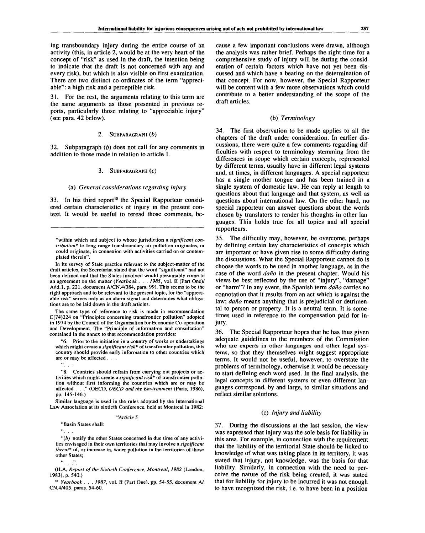ing transboundary injury during the entire course of an activity (this, in article 2, would be at the very heart of the concept of "risk" as used in the draft, the intention being to indicate that the draft is not concerned with any and every risk), but which is also visible on first examination. There are two distinct co-ordinates of the term "appreciable": a high risk and a perceptible risk.

31. For the rest, the arguments relating to this term are the same arguments as those presented in previous reports, particularly those relating to "appreciable injury" (see para. 42 below).

#### 2. SUBPARAGRAPH *(b)*

32. Subparagraph *(b)* does not call for any comments in addition to those made in relation to article 1.

#### 3. SUBPARAGRAPH (C)

#### (a) *General considerations regarding injury*

33. In his third report<sup>10</sup> the Special Rapporteur considered certain characteristics of injury in the present context. It would be useful to reread those comments, be-

In its survey of State practice relevant to the subject-matter of the draft articles, the Secretariat stated that the word "significant" had not been defined and that the States involved would presumably come to an agreement on the matter *(Yearbook . . . 1985,* vol. II (Part One)/ Add.l, p. 221, document A/CN.4/384, para. 99). This seems to be the right approach and to be relevant to the present topic, for the "appreciable risk" serves only as an alarm signal and determines what obligations are to be laid down in the draft articles.

The same type of reference to risk is made in recommendation C(74)224 on "Principles concerning transfrontier pollution" adopted in 1974 by the Council of the Organisation for Economic Co-operation and Development. The "Principle of information and consultation" contained in the annex to that recommendation provides:

"6. Prior to the initiation in a country of works or undertakings which might create a *significant risk\** of transfrontier pollution, this country should provide early information to other countries which are or may be affected . . . . . . .

"8. Countries should refrain from carrying out projects or activities which might create a *significant risk\** of transfrontier pollution without first informing the countries which are or may be affected . . ." (OECD, *OECD and the Environment* (Paris, 1986), pp. 145-146.)

Similar language is used in the rules adopted by the International Law Association at its sixtieth Conference, held at Montreal in 1982:

#### *"Article 5*

'Basin States shall:

*"(b)* notify the other States concerned in due time of any activities envisaged in their own territories that may involve a *significant threat\** of, or increase in, water pollution in the territories of those other States;

(ILA, *Report of the Sixtieth Conference, Montreal, 1982* (London, 1983), p. 540.)

10  *Yearbook . . . 1987,* vol. II (Part One), pp. 54-55, document A/ CN.4/405, paras. 54-60.

cause a few important conclusions were drawn, although the analysis was rather brief. Perhaps the right time for a comprehensive study of injury will be during the consideration of certain factors which have not yet been discussed and which have a bearing on the determination of that concept. For now, however, the Special Rapporteur will be content with a few more observations which could contribute to a better understanding of the scope of the draft articles.

## (b) *Terminology*

34. The first observation to be made applies to all the chapters of the draft under consideration. In earlier discussions, there were quite a few comments regarding difficulties with respect to terminology stemming from the differences in scope which certain concepts, represented by different terms, usually have in different legal systems and, at times, in different languages. A special rapporteur has a single mother tongue and has been trained in a single system of domestic law. He can reply at length to questions about that language and that system, as well as questions about international law. On the other hand, no special rapporteur can answer questions about the words chosen by translators to render his thoughts in other languages. This holds true for all topics and all special rapporteurs.

35. The difficulty may, however, be overcome, perhaps by defining certain key characteristics of concepts which are important or have given rise to some difficulty during the discussions. What the Special Rapporteur cannot do is choose the words to be used in another language, as in the case of the word *dano* in the present chapter. Would his views be best reflected by the use of "injury", "damage" or "harm"? In any event, the Spanish term *dano* carries no connotation that it results from an act which is against the law; *daño* means anything that is prejudicial or detrimental to person or property. It is a neutral term. It is sometimes used in reference to the compensation paid for injury.

36. The Special Rapporteur hopes that he has thus given adequate guidelines to the members of the Commission who are experts in other languages and other legal systems, so that they themselves might suggest appropriate terms. It would not be useful, however, to overstate the problems of terminology, otherwise it would be necessary to start defining each word used. In the final analysis, the legal concepts in different systems or even different languages correspond, by and large, to similar situations and reflect similar solutions.

#### (c) *Injury and liability*

37. During the discussions at the last session, the view was expressed that injury was the sole basis for liability in this area. For example, in connection with the requirement that the liability of the territorial State should be linked to knowledge of what was taking place in its territory, it was stated that injury, not knowledge, was the basis for that liability. Similarly, in connection with the need to perceive the nature of the risk being created, it was stated that for liability for injury to be incurred it was not enough to have recognized the risk, i.e. to have been in a position

<sup>&</sup>quot;within which and subject to whose jurisdiction a *significant contribution\** to long-range transboundary air pollution originates, or could originate, in connexion with activities carried on or contemplated therein".

 $\frac{a}{a}$ ,  $\frac{b}{a}$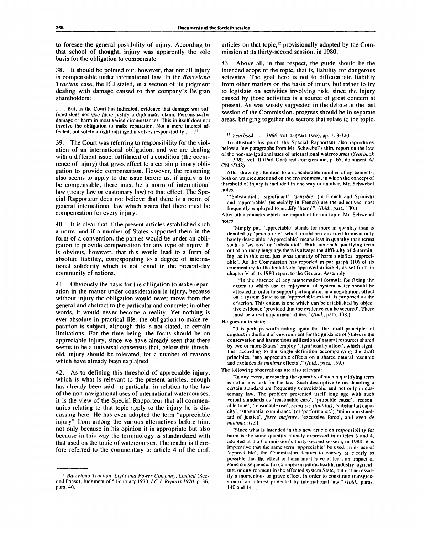to foresee the general possibility of injury. According to that school of thought, injury was apparently the sole basis for the obligation to compensate.

38. It should be pointed out, however, that not all injury is compensable under international law. In the *Barcelona Traction* case, the ICJ stated, in a section of its judgment dealing with damage caused to that company's Belgian shareholders:

. . . But, as the Court has indicated, evidence that damage was suffered does not *ipso facto* justify a diplomatic claim. Persons suffer damage or harm in most varied circumstances. This in itself does not involve the obligation to make reparation. Not a mere interest affected, but solely a right infringed involves responsibility . . .<sup>11</sup>

39. The Court was referring to responsibility for the violation of an international obligation, and we are dealing with a different issue: fulfilment of a condition (the occurrence of injury) that gives effect to a certain primary obligation to provide compensation. However, the reasoning also seems to apply to the issue before us: if injury is to be compensable, there must be a norm of international law (treaty law or customary law) to that effect. The Special Rapporteur does not believe that there is a norm of general international law which states that there must be compensation for every injury.

40. It is clear that if the present articles established such a norm, and if a number of States supported them in the form of a convention, the parties would be under an obligation to provide compensation for any type of injury. It is obvious, however, that this would lead to a form of absolute liability, corresponding to a degree of international solidarity which is not found in the present-day community of nations.

41. Obviously the basis for the obligation to make reparation in the matter under consideration is injury, because without injury the obligation would never move from the general and abstract to the particular and concrete; in other words, it would never become a reality. Yet nothing is ever absolute in practical life: the obligation to make reparation is subject, although this is not stated, to certain limitations. For the time being, the focus should be on appreciable injury, since we have already seen that there seems to be a universal consensus that, below this threshold, injury should be tolerated, for a number of reasons which have already been explained.

42. As to defining this threshold of appreciable injury, which is what is relevant to the present articles, enough has already been said, in particular in relation to the law of the non-navigational uses of international watercourses. It is the view of the Special Rapporteur that all commentaries relating to that topic apply to the injury he is discussing here. He has even adopted the term "appreciable injury" from among the various alternatives before him, not only because in his opinion it is appropriate but also because in this way the terminology is standardized with that used on the topic of watercourses. The reader is therefore referred to the commentary to article 4 of the draft

articles on that topic,<sup>12</sup> provisionally adopted by the Commission at its thirty-second session, in 1980.

43. Above all, in this respect, the guide should be the intended scope of the topic, that is, liability for dangerous activities. The goal here is not to differentiate liability from other matters on the basis of injury but rather to try to legislate on activities involving risk, since the injury caused by those activities is a source of great concern at present. As was wisely suggested in the debate at the last session of the Commission, progress should be in separate areas, bringing together the sectors that relate to the topic.

To illustrate his point, the Special Rapporteur also reproduces below a few paragraphs from Mr. Schwcbel's third report on the law of the non-navigational uses of international watercourses *(Yearbook* 1982, vol. II (Part One) and corrigendum, p. 65, document A/ CN.4/348).

After drawing attention to a considerable number of agreements, both on watercourses and on the environment, in which the concept of threshold of injury is included in one way or another, Mr. Schwebel notes:

"'Substantial', 'significant', *'sensible'* (in French and Spanish) and 'appreciable' (especially in French) are the adjectives most frequently employed to modify 'harm'". *(Ibid.,* para. 130.)

After other remarks which are important for our topic, Mr. Schwebel notes:

"Simply put, 'appreciable' stands for more in quantity than is denoted by 'perceptible', which could be construed to mean only barely detectable. 'Appreciable' means less in quantity than terms such as 'serious' or 'substantial'. Wilh any such qualifying term out of ordinary language there is always the difficulty of determining, as in this case, just whal quantity of harm satisfies 'appreciable'. As the Commission has reported in paragraph (10) of its commentary to the tentatively approved article 4, as set forth in chapter V of its 1980 report to the General Assembly:

"In the absence of any mathematical formula for fixing the extent to which use or enjoyment of system water should be affected in order to support participation in a negotiation, effect on a system State to an 'appreciable extent' is proposed as the criterion. This extent is one which can be established by objective evidence (provided that the evidence can be secured). There must be a real impairment of use." *(Ibid.,* para. 138.)

He goes on to state:

"It is perhaps worth noting again that the 'draft principles of conduct in the field of environment for the guidance of States in the conservation and harmonious utilization of natural resources shared by two or more States' employ 'significantly affect', which signifies, according to the single definition accompanying the draft principles, 'any appreciable effects on a shared natural resource and excludes *de minimis* effects'." *(Ibid.,* para. 139.)

The following observations arc also relevant:

"In any event, measuring the quantity of such a qualifying term is not a new task for the law. Such descriptive terms denoting a certain standard are frequently unavoidable, and not only in customary law. The problem presented itself long ago with such verbal standards as 'reasonable care', 'probable cause', 'reasonable time', 'reasonable use', *rebus sic stantibus,* 'substantial capacity', 'substantial compliance' (or 'performance'), 'minimum standard of justice', *force majeure,* 'excessive force', and even *de minimus* itself.

"Since whal is intended in this new article on responsibility for harm is the same quantity already expressed in articles 3 and 4, adopted at the Commission's thirty-second session, in 1980, il is imperative that the same term 'appreciable' be used. In its use of 'appreciable', the Commission desires lo convey as clearly as possible that the effect or harm must have at least an impact of some consequence, for example on public health, industry, agriculture or environment in the affected system State, but not necessarily a momentous or grave effect, in order to constitute transgression of an interest protected by international law." *(Ibid.,* paras. 140 and 141.)

<sup>&</sup>quot; *Barcelona Traction, Light and Power Company, Limited* (Second Phase), Judgment of 5 February 1970, *ICJ. Reports 1970,* p. 36, para. 46.

<sup>12</sup>  *Yearbook . .* . *1980,* vol. II (Part Two), pp. 118-120.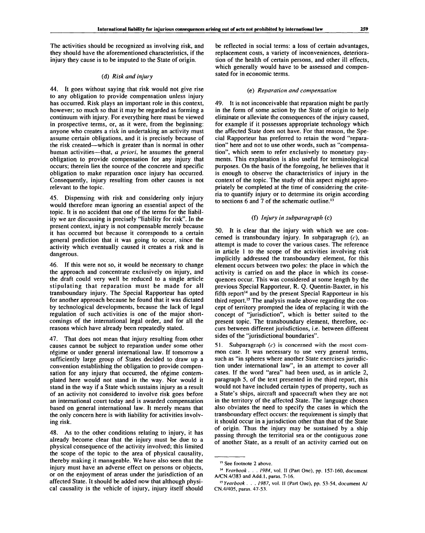The activities should be recognized as involving risk, and they should have the aforementioned characteristics, if the injury they cause is to be imputed to the State of origin.

### (d) *Risk and injury*

44. It goes without saying that risk would not give rise to any obligation to provide compensation unless injury has occurred. Risk plays an important role in this context, however; so much so that it may be regarded as forming a continuum with injury. For everything here must be viewed in prospective terms, or, as it were, from the beginning: anyone who creates a risk in undertaking an activity must assume certain obligations, and it is precisely because of the risk created—which is greater than is normal in other human activities—that, *a priori,* he assumes the general obligation to provide compensation for any injury that occurs; therein lies the source of the concrete and specific obligation to make reparation once injury has occurred. Consequently, injury resulting from other causes is not relevant to the topic.

45. Dispensing with risk and considering only injury would therefore mean ignoring an essential aspect of the topic. It is no accident that one of the terms for the liability we are discussing is precisely "liability for risk". In the present context, injury is not compensable merely because it has occurred but because it corresponds to a certain general prediction that it was going to occur, since the activity which eventually caused it creates a risk and is dangerous.

46. If this were not so, it would be necessary to change the approach and concentrate exclusively on injury, and the draft could very well be reduced to a single article stipulating that reparation must be made for all transboundary injury. The Special Rapporteur has opted for another approach because he found that it was dictated by technological developments, because the lack of legal regulation of such activities is one of the major shortcomings of the international legal order, and for all the reasons which have already been repeatedly stated.

47. That does not mean that injury resulting from other causes cannot be subject to reparation under some other régime or under general international law. If tomorrow a sufficiently large group of States decided to draw up a convention establishing the obligation to provide compensation for any injury that occurred, the régime contemplated here would not stand in the way. Nor would it stand in the way if a State which sustains injury as a result of an activity not considered to involve risk goes before an international court today and is awarded compensation based on general international law. It merely means that the only concern here is with liability for activities involving risk.

48. As to the other conditions relating to injury, it has already become clear that the injury must be due to a physical consequence of the activity involved; this limited the scope of the topic to the area of physical causality, thereby making it manageable. We have also seen that the injury must have an adverse effect on persons or objects, or on the enjoyment of areas under the jurisdiction of an affected State. It should be added now that although physical causality is the vehicle of injury, injury itself should

be reflected in social terms: a loss of certain advantages, replacement costs, a variety of inconveniences, deterioration of the health of certain persons, and other ill effects, which generally would have to be assessed and compensated for in economic terms.

#### (e) *Reparation and compensation*

49. It is not inconceivable that reparation might be partly in the form of some action by the State of origin to help eliminate or alleviate the consequences of the injury caused, for example if it possesses appropriate technology which the affected State does not have. For that reason, the Special Rapporteur has preferred to retain the word "reparation" here and not to use other words, such as "compensation", which seem to refer exclusively to monetary payments. This explanation is also useful for terminological purposes. On the basis of the foregoing, he believes that it is enough to observe the characteristics of injury in the context of the topic. The study of this aspect might appropriately be completed at the time of considering the criteria to quantify injury or to determine its origin according to sections 6 and 7 of the schematic outline.<sup>13</sup>

### (f) *Injury in subparagraph* (c)

50. It is clear that the injury with which we are concerned is transboundary injury. In subparagraph  $(c)$ , an attempt is made to cover the various cases. The reference in article 1 to the scope of the activities involving risk implicitly addressed the transboundary element, for this element occurs between two poles: the place in which the activity is carried on and the place in which its consequences occur. This was considered at some length by the previous Special Rapporteur, R. Q. Quentin-Baxter, in his fifth report<sup>14</sup> and by the present Special Rapporteur in his third report.<sup>15</sup> The analysis made above regarding the concept of territory prompted the idea of replacing it with the concept of "jurisdiction", which is better suited to the present topic. The transboundary element, therefore, occurs between different jurisdictions, i.e. between different sides of the "jurisdictional boundaries".

51. Subparagraph  $(c)$  is concerned with the most common case. It was necessary to use very general terms, such as "in spheres where another State exercises jurisdiction under international law", in an attempt to cover all cases. If the word "area" had been used, as in article 2, paragraph 5, of the text presented in the third report, this would not have included certain types of property, such as a State's ships, aircraft and spacecraft when they are not in the territory of the affected State. The language chosen also obviates the need to specify the cases in which the transboundary effect occurs: the requirement is simply that it should occur in a jurisdiction other than that of the State of origin. Thus the injury may be sustained by a ship passing through the territorial sea or the contiguous zone of another State, as a result of an activity carried out on

<sup>&</sup>lt;sup>13</sup> See footnote 2 above.

<sup>14</sup>  *Yearbook . . . 1984,* vol. IF (Part One), pp. 157-160, document A/CN.4/383 and Add.l, paras. 7-16.

<sup>15</sup>  *Yearbook . . . 1987,* vol. II (Part One), pp. 53-54, document A/ CN.4/405, paras. 47-53.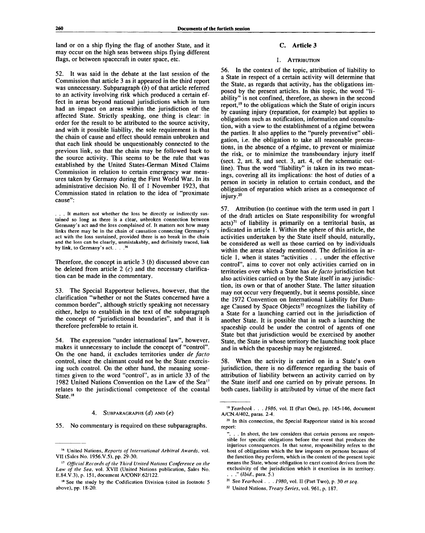land or on a ship flying the flag of another State, and it may occur on the high seas between ships flying different flags, or between spacecraft in outer space, etc.

52. It was said in the debate at the last session of the Commission that article 3 as it appeared in the third report was unnecessary. Subparagraph *(b)* of that article referred to an activity involving risk which produced a certain effect in areas beyond national jurisdictions which in turn had an impact on areas within the jurisdiction of the affected State. Strictly speaking, one thing is clear: in order for the result to be attributed to the source activity, and with it possible liability, the sole requirement is that the chain of cause and effect should remain unbroken and that each link should be unquestionably connected to the previous link, so that the chain may be followed back to the source activity. This seems to be the rule that was established by the United States-German Mixed Claims Commission in relation to certain emergency war measures taken by Germany during the First World War. In its administrative decision No. II of 1 November 1923, that Commission stated in relation to the idea of "proximate cause":

Therefore, the concept in article 3 *(b)* discussed above can be deleted from article 2  $(c)$  and the necessary clarification can be made in the commentary.

53. The Special Rapporteur believes, however, that the clarification "whether or not the States concerned have a common border", although strictly speaking not necessary either, helps to establish in the text of the subparagraph the concept of "jurisdictional boundaries", and that it is therefore preferable to retain it.

54. The expression "under international law", however, makes it unnecessary to include the concept of "control". On the one hand, it excludes territories under *de facto* control, since the claimant could not be the State exercising such control. On the other hand, the meaning sometimes given to the word "control", as in article 33 of the 1982 United Nations Convention on the Law of the Sea<sup>17</sup> relates to the jurisdictional competence of the coastal State.<sup>18</sup>

#### 4. SUBPARAGRAPHS *(d)* AND *(e)*

55. No commentary is required on these subparagraphs.

### C. **Article 3**

## 1. ATTRIBUTION

56. In the context of the topic, attribution of liability to a State in respect of a certain activity will determine that the State, as regards that activity, has the obligations imposed by the present articles. In this topic, the word "liability" is not confined, therefore, as shown in the second report,<sup>19</sup> to the obligations which the State of origin incurs by causing injury (reparation, for example) but applies to obligations such as notification, information and consultation, with a view to the establishment of a régime between the parties. It also applies to the "purely preventive" obligation, i.e. the obligation to take all reasonable precautions, in the absence of a regime, to prevent or minimize the risk, or to minimize the transboundary injury itself (sect. 2, art. 8, and sect. 3, art. 4, of the schematic outline). Thus the word "liability" is taken in its two meanings, covering all its implications: the host of duties of a person in society in relation to certain conduct, and the obligation of reparation which arises as a consequence of injury. **20**

57. Attribution (to continue with the term used in part 1 of the draft articles on State responsibility for wrongful  $acts)^{21}$  of liability is primarily on a territorial basis, as indicated in article 1. Within the sphere of this article, the activities undertaken by the State itself should, naturally, be considered as well as those carried on by individuals within the areas already mentioned. The definition in article 1, when it states "activities . . . under the effective control", aims to cover not only activities carried on in territories over which a State has *de facto* jurisdiction but also activities carried on by the State itself in any jurisdiction, its own or that of another State. The latter situation may not occur very frequently, but it seems possible, since the 1972 Convention on International Liability for Damage Caused by Space Objects<sup>22</sup> recognizes the liability of  $\frac{1}{2}$ a State for a launching carried out in the jurisdiction of another State. It is possible that in such a launching the spaceship could be under the control of agents of one State but that jurisdiction would be exercised by another State, the State in whose territory the launching took place and in which the spaceship may be registered.

58. When the activity is carried on in a State's own jurisdiction, there is no difference regarding the basis of attribution of liability between an activity carried on by the State itself and one carried on by private persons. In both cases, liability is attributed by virtue of the mere fact

<sup>..</sup> It matters not whether the loss be directly or indirectly sustained so long as there is a clear, unbroken connection between Germany's act and the loss complained of. It matters not how many links there may be in the chain of causation connecting Germany's act with the loss sustained, provided there is no break in the chain and the loss can be clearly, unmistakably, and definitely traced, link by link, to Germany's act. . . . <sup>16</sup>

<sup>16</sup> United Nations, *Reports of International Arbitral Awards,* vol. VII (Sales No. 1956.V.5), pp. 29-30.

<sup>17</sup>  *Official Records of the Third United Nations Conference on the Law of the Sea,* vol. XVII (United Nations publication, Sales No. E.84.V.3), p. 151, document A/CONF.62/122.

<sup>&</sup>lt;sup>18</sup> See the study by the Codification Division (cited in footnote 5 above), pp. 18-20.

<sup>19</sup>  *Yearbook . . . 1986,* vol. II (Part One), pp. 145-146, document A/CN.4/402, paras. 2-4.

<sup>&</sup>lt;sup>20</sup> In this connection, the Special Rapporteur stated in his second report:

<sup>.</sup> In short, the law considers that certain persons are responsible for specific obligations before the event that produces the injurious consequences. In that sense, responsibility refers to the host of obligations which the law imposes on persons because of the function they perform, which in the context of the present topic means the State, whose obligation to exert control derives from the exclusivity of the jurisdiction which it exercises in its territory. . . ." *(Ibid.,* para. 5.)

<sup>21</sup> See *Yearbook . . . 1980,* vol. II (Part Two), p. 30 *et seq.*

*<sup>22</sup>* United Nations, *Treaty Series,* vol. 961, p. 187.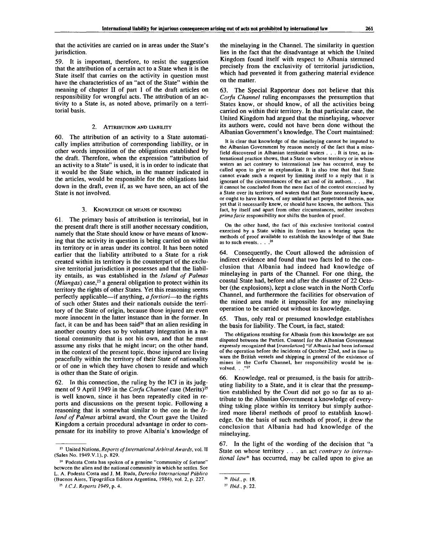that the activities are carried on in areas under the State's jurisdiction.

59. It is important, therefore, to resist the suggestion that the attribution of a certain act to a State when it is the State itself that carries on the activity in question must have the characteristics of an "act of the State" within the meaning of chapter II of part 1 of the draft articles on responsibility for wrongful acts. The attribution of an activity to a State is, as noted above, primarily on a territorial basis.

### 2. ATTRIBUTION AND LIABILITY

60. The attribution of an activity to a State automatically implies attribution of corresponding liability, or in other words imposition of the obligations established by the draft. Therefore, when the expression "attribution of an activity to a State" is used, it is in order to indicate that it would be the State which, in the manner indicated in the articles, would be responsible for the obligations laid down in the draft, even if, as we have seen, an act of the State is not involved.

#### 3. KNOWLEDGE OR MEANS OF KNOWING

61. The primary basis of attribution is territorial, but in the present draft there is still another necessary condition, namely that the State should know or have means of knowing that the activity in question is being carried on within its territory or in areas under its control. It has been noted earlier that the liability attributed to a State for a risk created within its territory is the counterpart of the exclusive territorial jurisdiction it possesses and that the liability entails, as was established in the *Island of Palmas {Miangas)* case,<sup>23</sup> a general obligation to protect within its territory the rights of other States. Yet this reasoning seems perfectly applicable—if anything, *a fortiori*—to the rights of such other States and their nationals outside the territory of the State of origin, because those injured are even more innocent in the latter instance than in the former. In more innocent in the fatter instance than in the former. In<br>fact, it can be and has been said<sup>24</sup> that an alien residing in another country does so by voluntary integration in a national community that is not his own, and that he must assume any risks that he might incur; on the other hand, in the context of the present topic, those injured are living peacefully within the territory of their State of nationality or of one in which they have chosen to reside and which is other than the State of origin.

62. In this connection, the ruling by the ICJ in its judgment of 9 April 1949 in the *Corfu Channel* case (Merits)<sup>25</sup> is well known, since it has been repeatedly cited in reports and discussions on the present topic. Following a reasoning that is somewhat similar to the one in the *Island of Palmas* arbitral award, the Court gave the United Kingdom a certain procedural advantage in order to compensate for its inability to prove Albania's knowledge of the minelaying in the Channel. The similarity in question lies in the fact that the disadvantage at which the United Kingdom found itself with respect to Albania stemmed precisely from the exclusivity of territorial jurisdiction, which had prevented it from gathering material evidence on the matter.

63. The Special Rapporteur does not believe that this *Corfu Channel* ruling encompasses the presumption that States know, or should know, of all the activities being carried on within their territory. In that particular case, the United Kingdom had argued that the minelaying, whoever its authors were, could not have been done without the Albanian Government's knowledge. The Court maintained:

It is clear that knowledge of the minelaying cannot be imputed to the Albanian Government by reason merely of the fact that a minefield discovered in Albanian territorial waters .. . It is true, as international practice shows, that a State on whose territory or in whose waters an act contrary to international law has occurred, may be called upon to give an explanation. It is also true that that State cannot evade such a request by limiting itself to a reply that it is ignorant of the circumstances of the act and of its authors. . . . But it cannot be concluded from the mere fact of the control exercised by a State over its territory and waters that that State necessarily knew, or ought to have known, of any unlawful act perpetrated therein, nor yet that it necessarily knew, or should have known, the authors. This fact, by itself and apart from other circumstances, neither involves *prima facie* responsibility nor shifts the burden of proof.

On the other hand, the fact of this exclusive territorial control exercised by a State within its frontiers has a bearing upon the methods of proof available to establish the knowledge of that State as to such events. . . . 26

64. Consequently, the Court allowed the admission of indirect evidence and found that two facts led to the conclusion that Albania had indeed had knowledge of minelaying in parts of the Channel. For one thing, the coastal State had, before and after the disaster of 22 October (the explosions), kept a close watch in the North Corfu Channel, and furthermore the facilities for observation of the mined area made it impossible for any minelaying operation to be carried out without its knowledge.

65. Thus, only real or presumed knowledge establishes the basis for liability. The Court, in fact, stated:

The obligations resulting for Albania from this knowledge are not disputed between the Parties. Counsel for the Albanian Government expressly recognized that *[translation]* "if Albania had been informed of the operation before the incidents of October 22nd, and in time to warn the British vessels and shipping in general of the existence of mines in the Corfu Channel, her responsibility would be involved.  $\cdot$  ."27

66. Knowledge, real or presumed, is the basis for attributing liability to a State, and it is clear that the presumption established by the Court did not go so far as to attribute to the Albanian Government a knowledge of everything taking place within its territory but simply authorized more liberal methods of proof to establish knowledge. On the basis of such methods of proof, it drew the conclusion that Albania had had knowledge of the minelaying.

67. In the light of the wording of the decision that "a State on whose territory .. . an act *contrary to international law\** has occurred, may be called upon to give an

<sup>23</sup> United Nations, *Reports of International Arbitral Awards,* vol. II (Sales No. 1949.V.1), p. 829.

<sup>&</sup>lt;sup>24</sup> Podesta Costa has spoken of a genuine "community of fortune" between the alien and the national community in which he settles. See L. A. Podesta Costa and J. M. Ruda, Derecho Internacional Público (Buenos Aires, Tipografica Editora Argentina, 1984), vol. 2, p. 227.

<sup>25</sup>  *I.C.J. Reports 1949,* p. 4.

<sup>26</sup>  *Ibid., p.* 18.

<sup>27</sup>  *Ibid.,* p. 22.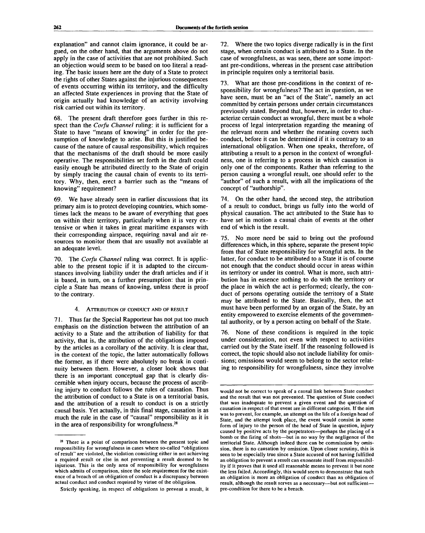explanation" and cannot claim ignorance, it could be argued, on the other hand, that the arguments above do not apply in the case of activities that are not prohibited. Such an objection would seem to be based on too literal a reading. The basic issues here are the duty of a State to protect the rights of other States against the injurious consequences of events occurring within its territory, and the difficulty an affected State experiences in proving that the State of origin actually had knowledge of an activity involving risk carried out within its territory.

68. The present draft therefore goes further in this respect than the *Corfu Channel* ruling: it is sufficient for a State to have "means of knowing" in order for the presumption of knowledge to arise. But this is justified because of the nature of causal responsibility, which requires that the mechanisms of the draft should be more easily operative. The responsibilities set forth in the draft could easily enough be attributed directly to the State of origin by simply tracing the causal chain of events to its territory. Why, then, erect a barrier such as the "means of knowing" requirement?

69. We have already seen in earlier discussions that its primary aim is to protect developing countries, which sometimes lack the means to be aware of everything that goes on within their territory, particularly when it is very extensive or when it takes in great maritime expanses with their corresponding airspace, requiring naval and air resources to monitor them that are usually not available at an adequate level.

70. The *Corfu Channel* ruling was correct. It is applicable to the present topic if it is adapted to the circumstances involving liability under the draft articles and if it is based, in turn, on a further presumption: that in principle a State has means of knowing, unless there is proof to the contrary.

4. ATTRIBUTION OF CONDUCT AND OF RESULT

71. Thus far the Special Rapporteur has not put too much emphasis on the distinction between the attribution of an activity to a State and the attribution of liability for that activity, that is, the attribution of the obligations imposed by the articles as a corollary of the activity. It is clear that, in the context of the topic, the latter automatically follows the former, as if there were absolutely no break in continuity between them. However, a closer look shows that there is an important conceptual gap that is clearly discernible when injury occurs, because the process of ascribing injury to conduct follows the rules of causation. Thus the attribution of conduct to a State is on a territorial basis, and the attribution of a result to conduct is on a strictly causal basis. Yet actually, in this final stage, causation is as much the rule in the case of "causal" responsibility as it is in the area of responsibility for wrongfulness.<sup>28</sup>

72. Where the two topics diverge radically is in the first stage, when certain conduct is attributed to a State. In the case of wrongfulness, as was seen, there are some important pre-conditions, whereas in the present case attribution in principle requires only a territorial basis.

73. What are those pre-conditions in the context of responsibility for wrongfulness? The act in question, as we have seen, must be an "act of the State", namely an act committed by certain persons under certain circumstances previously stated. Beyond that, however, in order to characterize certain conduct as wrongful, there must be a whole process of legal interpretation regarding the meaning of the relevant norm and whether the meaning covers such conduct, before it can be determined if it is contrary to an international obligation. When one speaks, therefore, of attributing a result to a person in the context of wrongfulness, one is referring to a process in which causation is only one of the components. Rather than referring to the person causing a wrongful result, one should refer to the 'author" of such a result, with all the implications of the concept of "authorship".

74. On the other hand, the second step, the attribution of a result to conduct, brings us fully into the world of physical causation. The act attributed to the State has to have set in motion a causal chain of events at the other end of which is the result.

75. No more need be said to bring out the profound differences which, in this sphere, separate the present topic from that of State responsibility for wrongful acts. In the latter, for conduct to be attributed to a State it is of course not enough that the conduct should occur in areas within its territory or under its control. What is more, such attribution has in essence nothing to do with the territory or the place in which the act is performed; clearly, the conduct of persons operating outside the territory of a State may be attributed to the State. Basically, then, the act must have been performed by an organ of the State, by an entity empowered to exercise elements of the governmental authority, or by a person acting on behalf of the State.

76. None of these conditions is required in the topic under consideration, not even with respect to activities carried out by the State itself. If the reasoning followed is correct, the topic should also not include liability for omissions; omissions would seem to belong to the sector relating to responsibility for wrongfulness, since they involve

<sup>&</sup>lt;sup>28</sup> There is a point of comparison between the present topic and responsibility for wrongfulness in cases where so-called "obligations of result" are violated, the violation consisting either in not achieving a required result or else in not preventing a result deemed to be injurious. This is the only area of responsibility for wrongfulness which admits of comparison, since the sole requirement for the existence of a breach of an obligation of conduct is a discrepancy between actual conduct and conduct required by virtue of the obligation.

Strictly speaking, in respect of obligations to prevent a result, it

would not be correct to speak of a causal link between State conduct and the result that was not prevented. The question of State conduct that was inadequate to prevent a given event and the question of causation in respect of that event are in different categories. If the aim was to prevent, for example, an attempt on the life of a foreign head of State, and the attempt took place, the event would consist in some form of injury to the person of the head of State in question, injury caused by positive acts by the perpetrators—perhaps the placing of a bomb or the firing of shots—but in no way by the negligence of the territorial State. Although indeed there can be commission by omission, there is no causation by omission. Upon closer scrutiny, this is seen to be especially true since a State accused of not having fulfilled an obligation to prevent a result can exonerate itself from responsibility if it proves that it used all reasonable means to prevent it but none the less failed. Accordingly, this would seem to demonstrate that such an obligation is more an obligation of conduct than an obligation of result, although the result serves as a necessary—but not sufficient pre-condition for there to be a breach.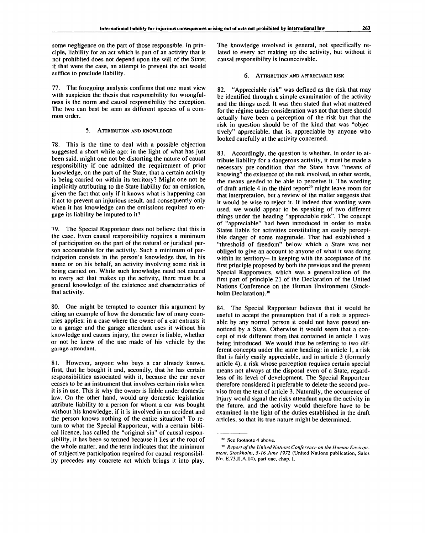some negligence on the part of those responsible. In principle, liability for an act which is part of an activity that is not prohibited does not depend upon the will of the State; if that were the case, an attempt to prevent the act would suffice to preclude liability.

77. The foregoing analysis confirms that one must view with suspicion the thesis that responsibility for wrongfulness is the norm and causal responsibility the exception. The two can best be seen as different species of a common order.

5. ATTRIBUTION AND KNOWLEDGE

78. This is the time to deal with a possible objection suggested a short while ago: in the light of what has just been said, might one not be distorting the nature of causal responsibility if one admitted the requirement of prior knowledge, on the part of the State, that a certain activity is being carried on within its territory? Might one not be implicitly attributing to the State liability for an omission, given the fact that only if it knows what is happening can it act to prevent an injurious result, and consequently only when it has knowledge can the omissions required to engage its liability be imputed to it?

79. The Special Rapporteur does not believe that this is the case. Even causal responsibility requires a minimum of participation on the part of the natural or juridical person accountable for the activity. Such a minimum of participation consists in the person's knowledge that, in his name or on his behalf, an activity involving some risk is being carried on. While such knowledge need not extend to every act that makes up the activity, there must be a general knowledge of the existence and characteristics of that activity.

80. One might be tempted to counter this argument by citing an example of how the domestic law of many countries applies: in a case where the owner of a car entrusts it to a garage and the garage attendant uses it without his knowledge and causes injury, the owner is liable, whether or not he knew of the use made of his vehicle by the garage attendant.

81. However, anyone who buys a car already knows, first, that he bought it and, secondly, that he has certain responsibilities associated with it, because the car never ceases to be an instrument that involves certain risks when it is in use. This is why the owner is liable under domestic law. On the other hand, would any domestic legislation attribute liability to a person for whom a car was bought without his knowledge, if it is involved in an accident and the person knows nothing of the entire situation? To return to what the Special Rapporteur, with a certain biblical licence, has called the "original sin" of causal responsibility, it has been so termed because it lies at the root of the whole matter, and the term indicates that the minimum of subjective participation required for causal responsibility precedes any concrete act which brings it into play.

The knowledge involved is general, not specifically related to every act making up the activity, but without it causal responsibility is inconceivable.

#### 6. ATTRIBUTION AND APPRECIABLE RISK

82. "Appreciable risk" was defined as the risk that may be identified through a simple examination of the activity and the things used. It was then stated that what mattered for the régime under consideration was not that there should actually have been a perception of the risk but that the risk in question should be of the kind that was "objectively" appreciable, that is, appreciable by anyone who looked carefully at the activity concerned.

83. Accordingly, the question is whether, in order to attribute liability for a dangerous activity, it must be made a necessary pre-condition that the State have "means of knowing" the existence of the risk involved, in other words, the means needed to be able to perceive it. The wording of draft article 4 in the third report<sup>29</sup> might leave room for that interpretation, but a review of the matter suggests that it would be wise to reject it. If indeed that wording were used, we would appear to be speaking of two different things under the heading "appreciable risk". The concept of "appreciable" had been introduced in order to make States liable for activities constituting an easily perceptible danger of some magnitude. That had established a "threshold of freedom" below which a State was not obliged to give an account to anyone of what it was doing within its territory—in keeping with the acceptance of the first principle proposed by both the previous and the present Special Rapporteurs, which was a generalization of the first part of principle 21 of the Declaration of the United Nations Conference on the Human Environment (Stockholm Declaration).<sup>30</sup>

84. The Special Rapporteur believes that it would be useful to accept the presumption that if a risk is appreciable by any normal person it could not have passed unnoticed by a State. Otherwise it would seem that a concept of risk different from that contained in article 1 was being introduced. We would thus be referring to two different concepts under the same heading: in article 1, a risk that is fairly easily appreciable, and in article 3 (formerly article 4), a risk whose perception requires certain special means not always at the disposal even of a State, regardless of its level of development. The Special Rapporteur therefore considered it preferable to delete the second proviso from the text of article 3. Naturally, the occurrence of injury would signal the risks attendant upon the activity in the future, and the activity would therefore have to be examined in the light of the duties established in the draft articles, so that its true nature might be determined.

<sup>&</sup>lt;sup>29</sup> See footnote 4 above.

<sup>&</sup>lt;sup>30</sup> Report of the United Nations Conference on the Human Environ*ment, Stockholm, 5-16 June 1972* (United Nations publication, Sales No. E.73.H.A.14), part one, chap. I.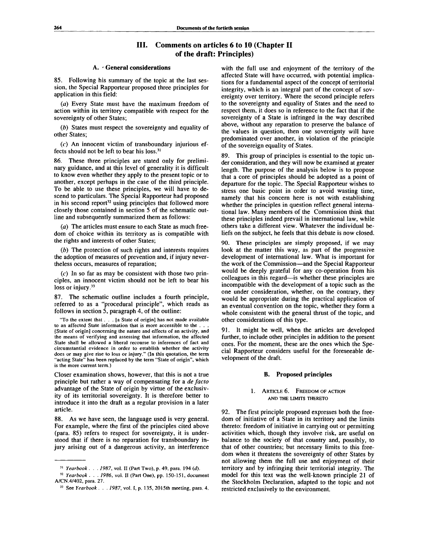# **III. Comments on articles 6 to 10 (Chapter II of the draft: Principles)**

#### **A.** ' **General considerations**

85. Following his summary of the topic at the last session, the Special Rapporteur proposed three principles for application in this field:

*(a)* Every State must have the maximum freedom of action within its territory compatible with respect for the sovereignty of other States;

*(b)* States must respect the sovereignty and equality of other States;

*(c)* An innocent victim of transboundary injurious effects should not be left to bear his loss.<sup>31</sup>

86. These three principles are stated only for preliminary guidance, and at this level of generality it is difficult to know even whether they apply to the present topic or to another, except perhaps in the case of the third principle. To be able to use these principles, we will have to descend to particulars. The Special Rapporteur had proposed in his second report<sup>32</sup> using principles that followed more closely those contained in section 5 of the schematic outline and subsequently summarized them as follows:

*(a)* The articles must ensure to each State as much freedom of choice within its territory as is compatible with the rights and interests of other States;

*(b)* The protection of such rights and interests requires the adoption of measures of prevention and, if injury nevertheless occurs, measures of reparation;

*(c)* In so far as may be consistent with those two principles, an innocent victim should not be left to bear his loss or injury.<sup>33</sup>

The schematic outline includes a fourth principle, referred to as a "procedural principle", which reads as follows in section 5, paragraph 4, of the outline:

"To the extent that .. . [a State of origin] has not made available to an affected State information that is more accessible to the ... [State of origin] concerning the nature and effects of an activity, and the means of verifying and assessing that information, the affected State shall be allowed a liberal recourse to inferences of fact and circumstantial evidence in order to establish whether the activity does or may give rise to loss or injury." (In this quotation, the term "acting State" has been replaced by the term "State of origin", which is the more current term.)

Closer examination shows, however, that this is not a true principle but rather a way of compensating for a *de facto* advantage of the State of origin by virtue of the exclusivity of its territorial sovereignty. It is therefore better to introduce it into the draft as a regular provision in a later article.

88. As we have seen, the language used is very general. For example, where the first of the principles cited above (para. 85) refers to respect for sovereignty, it is understood that if there is no reparation for transboundary injury arising out of a dangerous activity, an interference with the full use and enjoyment of the territory of the affected State will have occurred, with potential implications for a fundamental aspect of the concept of territorial integrity, which is an integral part of the concept of sovereignty over territory. Where the second principle refers to the sovereignty and equality of States and the need to respect them, it does so in reference to the fact that if the sovereignty of a State is infringed in the way described above, without any reparation to preserve the balance of the values in question, then one sovereignty will have predominated over another, in violation of the principle of the sovereign equality of States.

89. This group of principles is essential to the topic under consideration, and they will now be examined at greater length. The purpose of the analysis below is to propose that a core of principles should be adopted as a point of departure for the topic. The Special Rapporteur wishes to stress one basic point in order to avoid wasting time, namely that his concern here is not with establishing whether the principles in question reflect general international law. Many members of the Commission think that these principles indeed prevail in international law, while others take a different view. Whatever the individual beliefs on the subject, he feels that this debate is now closed.

90. These principles are simply proposed, if we may look at the matter this way, as part of the progressive development of international law. What is important for the work of the Commission—and the Special Rapporteur would be deeply grateful for any co-operation from his colleagues in this regard—is whether these principles are incompatible with the development of a topic such as the one under consideration, whether, on the contrary, they would be appropriate during the practical application of an eventual convention on the topic, whether they form a whole consistent with the general thrust of the topic, and other considerations of this type.

91. It might be well, when the articles are developed further, to include other principles in addition to the present ones. For the moment, these are the ones which the Special Rapporteur considers useful for the foreseeable development of the draft.

### **B. Proposed principles**

#### 1. ARTICLE 6. FREEDOM OF ACTION AND THE LIMITS THERETO

92. The first principle proposed expresses both the freedom of initiative of a State in its territory and the limits thereto: freedom of initiative in carrying out or permitting activities which, though they involve risk, are useful on balance to the society of that country and, possibly, to that of other countries; but necessary limits to this freedom when it threatens the sovereignty of other States by not allowing them the full use and enjoyment of their territory and by infringing their territorial integrity. The model for this text was the well-known principle 21 of the Stockholm Declaration, adapted to the topic and not restricted exclusively to the environment.

<sup>31</sup>  *Yearbook . . . 1987,* vol. II (Part Two), p. 49, para. 194 *(d).*

<sup>32</sup>  *Yearbook . .* . 7986, vol. II (Part One), pp. 150-151, document A/CN.4/402, para. 27.

<sup>33</sup> See *Yearbook . . . 1987,* vol. I, p. 135, 2015th meeting, para. 4.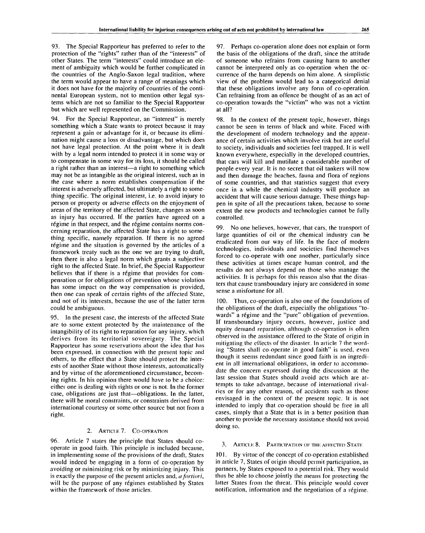93. The Special Rapporteur has preferred to refer to the protection of the "rights" rather than of the "interests" of other States. The term "interests" could introduce an element of ambiguity which would be further complicated in the countries of the Anglo-Saxon legal tradition, where the term would appear to have a range of meanings which it does not have for the majority of countries of the continental European system, not to mention other legal systems which are not so familiar to the Special Rapporteur but which are well represented on the Commission.

94. For the Special Rapporteur, an "interest" is merely something which a State wants to protect because it may represent a gain or advantage for it, or because its elimination might cause a loss or disadvantage, but which does not have legal protection. At the point where it is dealt with by a legal norm intended to protect it in some way or to compensate in some way for its loss, it should be called a right rather than an interest—a right to something which may not be as intangible as the original interest, such as in the case where a norm establishes compensation if the interest is adversely affected, but ultimately a right to something specific. The original interest, i.e. to avoid injury to person or property or adverse effects on the enjoyment of areas of the territory of the affected State, changes as soon as injury has occurred. If the parties have agreed on a régime in that respect, and the régime contains norms concerning reparation, the affected State has a right to something specific, namely reparation. If there is no agreed régime and the situation is governed by the articles of a framework treaty such as the one we are trying to draft, then there is also a legal norm which grants a subjective right to the affected State. In brief, the Special Rapporteur believes that if there is a régime that provides for compensation or for obligations of prevention whose violation has some impact on the way compensation is provided, then one can speak of certain rights of the affected State, and not of its interests, because the use of the latter term could be ambiguous.

95. In the present case, the interests of the affected State are to some extent protected by the maintenance of the intangibility of its right to reparation for any injury, which derives from its territorial sovereignty. The Special Rapporteur has some reservations about the idea that has been expressed, in connection with the present topic and others, to the effect that a State should protect the interests of another State without those interests, automatically and by virtue of the aforementioned circumstance, becoming rights. In his opinion there would have to be a choice: either one is dealing with rights or one is not. In the former case, obligations are just that—obligations. In the latter, there will be moral constraints, or constraints derived from international courtesy or some other source but not from a right.

## 2. ARTICLE 7. CO-OPERATION

96. Article 7 states the principle that States should cooperate in good faith. This principle is included because, in implementing some of the provisions of the draft, States would indeed be engaging in a form of co-operation by avoiding or minimizing risk or by minimizing injury. This is exactly the purpose of the present articles and, *a fortiori,* will be the purpose of any régimes established by States within the framework of those articles.

97. Perhaps co-operation alone does not explain or form the basis of the obligations of the draft, since the attitude of someone who refrains from causing harm to another cannot be interpreted only as co-operation when the occurrence of the harm depends on him alone. A simplistic view of the problem would lead to a categorical denial that these obligations involve any form of co-operation. Can refraining from an offence be thought of as an act of co-operation towards the "victim" who was not a victim at all?

98. In the context of the present topic, however, things cannot be seen in terms of black and white. Faced with the development of modern technology and the appearance of certain activities which involve risk but are useful to society, individuals and societies feel trapped. It is well known everywhere, especially in the developed countries, that cars will kill and mutilate a considerable number of people every year. It is no secret that oil tankers will now and then damage the beaches, fauna and flora of regions of some countries, and that statistics suggest that every once in a while the chemical industry will produce an accident that will cause serious damage. These things happen in spite of all the precautions taken, because to some extent the new products and technologies cannot be fully controlled.

99. No one believes, however, that cars, the transport of large quantities of oil or the chemical industry can be eradicated from our way of life. In the face of modern technologies, individuals and societies find themselves forced to co-operate with one another, particularly since these activities at times escape human control, and the results do not always depend on those who manage the activities. It is perhaps for this reason also that the disasters that cause transboundary injury are considered in some sense a misfortune for all.

100. Thus, co-operation is also one of the foundations of the obligations of the draft, especially the obligations "towards" a régime and the "pure" obligation of prevention. If transboundary injury occurs, however, justice and equity demand reparation, although co-operation is often observed in the assistance offered to the State of origin in mitigating the effects of the disaster. In article 7 the wording "States shall co-operate in good faith" is used, even though it seems redundant since good faith is an ingredient in all international obligations, in order to accommodate the concern expressed during the discussion at the last session that States should avoid acts which are attempts to take advantage, because of international rivalries or for any other reason, of accidents such as those envisaged in the context of the present topic. It is not intended to imply that co-operation should be free in all cases, simply that a State that is in a better position than another to provide the necessary assistance should not avoid doing so.

#### 3. ARTICLE 8. PARTICIPATION OF THE AEFECTED STATE

101. By virtue of the concept of co-operation established in article 7, States of origin should permit participation, as partners, by States exposed to a potential risk. They would thus be able to choose jointly the means for protecting the latter States from the threat. This principle would cover notification, information and the negotiation of a regime.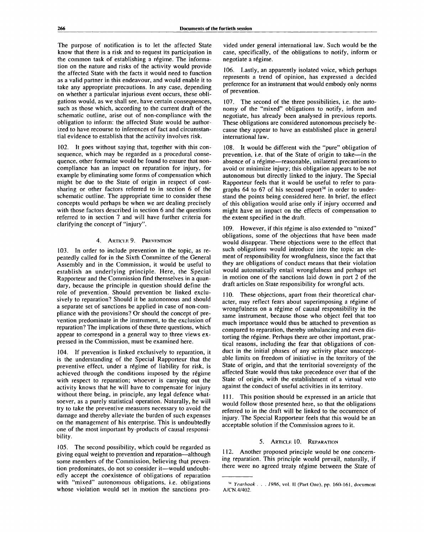The purpose of notification is to let the affected State know that there is a risk and to request its participation in the common task of establishing a régime. The information on the nature and risks of the activity would provide the affected State with the facts it would need to function as a valid partner in this endeavour, and would enable it to take any appropriate precautions. In any case, depending on whether a particular injurious event occurs, these obligations would, as we shall see, have certain consequences, such as those which, according to the current draft of the schematic outline, arise out of non-compliance with the obligation to inform: the affected State would be authorized to have recourse to inferences of fact and circumstantial evidence to establish that the activity involves risk.

102. It goes without saying that, together with this consequence, which may be regarded as a procedural consequence, other formulae would be found to ensure that noncompliance has an impact on reparation for injury, for example by eliminating some forms of compensation which might be due to the State of origin in respect of costsharing or other factors referred to in section 6 of the schematic outline. The appropriate time to consider these concepts would perhaps be when we are dealing precisely with those factors described in section 6 and the questions referred to in section 7 and will have further criteria for clarifying the concept of "injury".

#### 4. ARTICLE 9. PREVENTION

103. In order to include prevention in the topic, as repeatedly called for in the Sixth Committee of the General Assembly and in the Commission, it would be useful to establish an underlying principle. Here, the Special Rapporteur and the Commission find themselves in a quandary, because the principle in question should define the role of prevention. Should prevention be linked exclusively to reparation? Should it be autonomous and should a separate set of sanctions be applied in case of non-compliance with the provisions? Or should the concept of prevention predominate in the instrument, to the exclusion of reparation? The implications of these three questions, which appear to correspond in a general way to three views expressed in the Commission, must be examined here.

104. If prevention is linked exclusively to reparation, it is the understanding of the Special Rapporteur that the preventive effect, under a régime of liability for risk, is achieved through the conditions imposed by the regime with respect to reparation; whoever is carrying out the activity knows that he will have to compensate for injury without there being, in principle, any legal defence whatsoever, as a purely statistical operation. Naturally, he will try to take the preventive measures necessary to avoid the damage and thereby alleviate the burden of such expenses on the management of his enterprise. This is undoubtedly one of the most important by-products of causal responsibility.

105. The second possibility, which could be regarded as giving equal weight to prevention and reparation—although some members of the Commission, believing that prevention predominates, do not so consider it—would undoubtedly accept the coexistence of obligations of reparation with "mixed" autonomous obligations, i.e. obligations whose violation would set in motion the sanctions provided under general international law. Such would be the case, specifically, of the obligations to notify, inform or negotiate a regime.

106. Lastly, an apparently isolated voice, which perhaps represents a trend of opinion, has expressed a decided preference for an instrument that would embody only norms of prevention.

107. The second of the three possibilities, i.e. the autonomy of the "mixed" obligations to notify, inform and negotiate, has already been analysed in previous reports. These obligations are considered autonomous precisely because they appear to have an established place in general international law.

108. It would be different with the "pure" obligation of prevention, i.e. that of the State of origin to take—in the absence of a régime—reasonable, unilateral precautions to avoid or minimize injury; this obligation appears to be not autonomous but directly linked to the injury. The Special Rapporteur feels that it would be useful to refer to paragraphs 64 to 67 of his second report<sup>34</sup> in order to understand the points being considered here. In brief, the effect of this obligation would arise only if injury occurred and might have an impact on the effects of compensation to the extent specified in the draft.

109. However, if this régime is also extended to "mixed" obligations, some of the objections that have been made would disappear. These objections were to the effect that such obligations would introduce into the topic an element of responsibility for wrongfulness, since the fact that they are obligations of conduct means that their violation would automatically entail wrongfulness and perhaps set in motion one of the sanctions laid down in part 2 of the draft articles on State responsibility for wrongful acts.

110. These objections, apart from their theoretical character, may reflect fears about superimposing a régime of wrongfulness on a régime of causal responsibility in the same instrument, because those who object feel that too much importance would thus be attached to prevention as compared to reparation, thereby unbalancing and even distorting the regime. Perhaps there are other important, practical reasons, including the fear that obligations of conduct in the initial phases of any activity place unacceptable limits on freedom of initiative in the territory of the State of origin, and that the territorial sovereignty of the affected State would thus take precedence over that of the State of origin, with the establishment of a virtual veto against the conduct of useful activities in its territory.

111. This position should be expressed in an article that would follow those presented here, so that the obligations referred to in the draft will be linked to the occurrence of injury. The Special Rapporteur feels that this would be an acceptable solution if the Commission agrees to it.

#### 5. ARTICLE 10. REPARATION

112. Another proposed principle would be one concerning reparation. This principle would prevail, naturally, if there were no agreed treaty régime between the State of

<sup>14</sup>  *Yearbook . . . 1986,* vol. II (Part One), pp. 160-161, document A/CN.4/402.